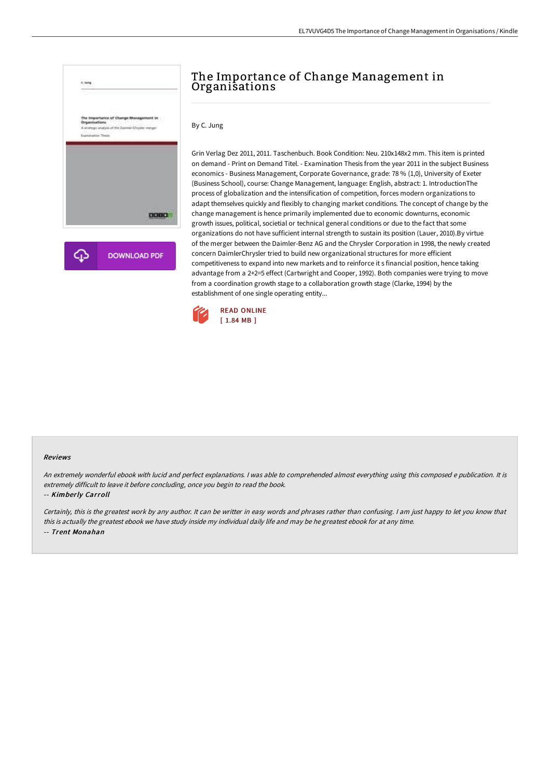

## The Importance of Change Management in Organisations

By C. Jung

Grin Verlag Dez 2011, 2011. Taschenbuch. Book Condition: Neu. 210x148x2 mm. This item is printed on demand - Print on Demand Titel. - Examination Thesis from the year 2011 in the subject Business economics - Business Management, Corporate Governance, grade: 78 % (1,0), University of Exeter (Business School), course: Change Management, language: English, abstract: 1. IntroductionThe process of globalization and the intensification of competition, forces modern organizations to adapt themselves quickly and flexibly to changing market conditions. The concept of change by the change management is hence primarily implemented due to economic downturns, economic growth issues, political, societial or technical general conditions or due to the fact that some organizations do not have sufficient internal strength to sustain its position (Lauer, 2010).By virtue of the merger between the Daimler-Benz AG and the Chrysler Corporation in 1998, the newly created concern DaimlerChrysler tried to build new organizational structures for more efficient competitiveness to expand into new markets and to reinforce it s financial position, hence taking advantage from a 2+2=5 effect (Cartwright and Cooper, 1992). Both companies were trying to move from a coordination growth stage to a collaboration growth stage (Clarke, 1994) by the establishment of one single operating entity...



## Reviews

An extremely wonderful ebook with lucid and perfect explanations. <sup>I</sup> was able to comprehended almost everything using this composed <sup>e</sup> publication. It is extremely difficult to leave it before concluding, once you begin to read the book.

## -- Kimberly Carroll

Certainly, this is the greatest work by any author. It can be writter in easy words and phrases rather than confusing. <sup>I</sup> am just happy to let you know that this is actually the greatest ebook we have study inside my individual daily life and may be he greatest ebook for at any time. -- Trent Monahan